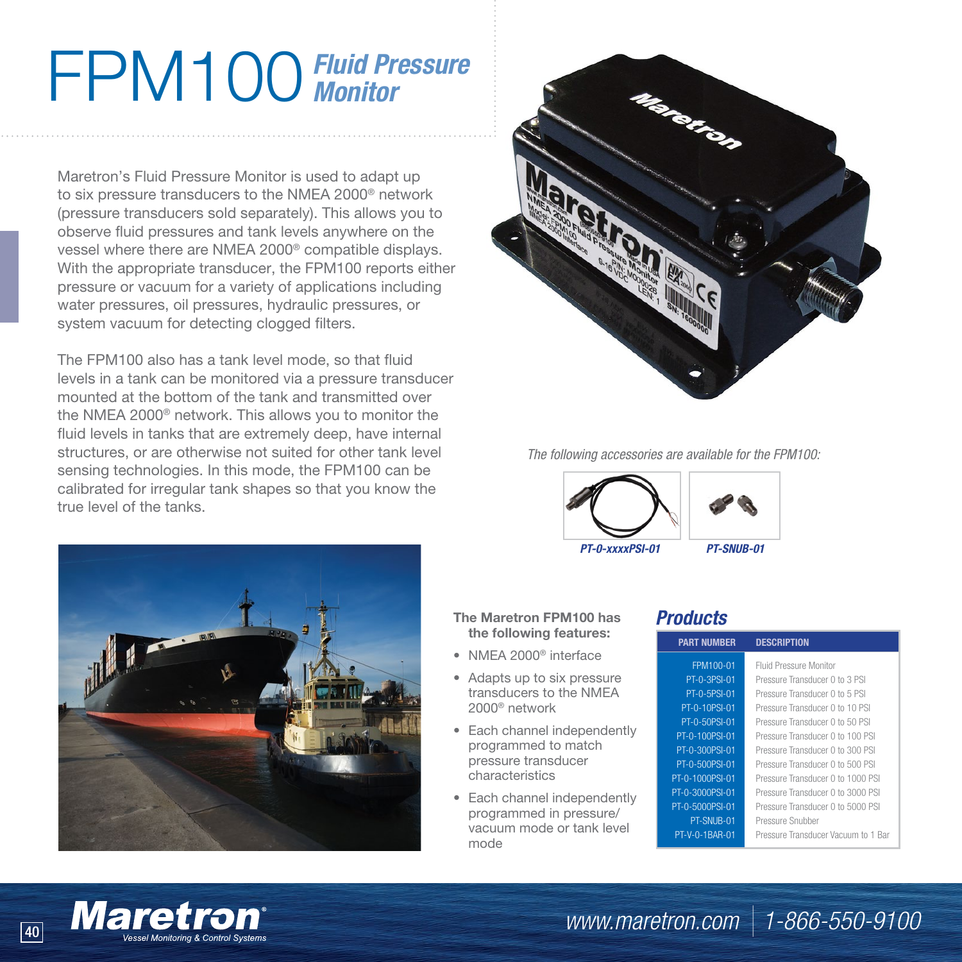## FPM100*Fluid Pressure Monitor*

Maretron's Fluid Pressure Monitor is used to adapt up to six pressure transducers to the NMEA 2000® network (pressure transducers sold separately). This allows you to observe fluid pressures and tank levels anywhere on the vessel where there are NMEA 2000® compatible displays. With the appropriate transducer, the FPM100 reports either pressure or vacuum for a variety of applications including water pressures, oil pressures, hydraulic pressures, or system vacuum for detecting clogged filters.

The FPM100 also has a tank level mode, so that fluid levels in a tank can be monitored via a pressure transducer mounted at the bottom of the tank and transmitted over the NMEA 2000® network. This allows you to monitor the fluid levels in tanks that are extremely deep, have internal structures, or are otherwise not suited for other tank level sensing technologies. In this mode, the FPM100 can be calibrated for irregular tank shapes so that you know the true level of the tanks.





*The following accessories are available for the FPM100:*



## **The Maretron FPM100 has the following features:**

- NMEA 2000® interface
- Adapts up to six pressure transducers to the NMEA 2000® network
- Each channel independently programmed to match pressure transducer characteristics
- Each channel independently programmed in pressure/ vacuum mode or tank level mode

## *Products*

| <b>PART NUMBER</b> | <b>DESCRIPTION</b>                  |
|--------------------|-------------------------------------|
| FPM100-01          | <b>Fluid Pressure Monitor</b>       |
| PT-0-3PSI-01       | Pressure Transducer 0 to 3 PSI      |
| PT-0-5PSI-01       | Pressure Transducer 0 to 5 PSI      |
| PT-0-10PSI-01      | Pressure Transducer 0 to 10 PSI     |
| PT-0-50PSI-01      | Pressure Transducer 0 to 50 PSI     |
| PT-0-100PSI-01     | Pressure Transducer 0 to 100 PSI    |
| PT-0-300PSI-01     | Pressure Transducer 0 to 300 PSI    |
| PT-0-500PSI-01     | Pressure Transducer 0 to 500 PSI    |
| PT-0-1000PSI-01    | Pressure Transducer 0 to 1000 PSI   |
| PT-0-3000PSI-01    | Pressure Transducer 0 to 3000 PSI   |
| PT-0-5000PSI-01    | Pressure Transducer 0 to 5000 PSI   |
| PT-SNUB-01         | Pressure Snubber                    |
| PT-V-0-1BAR-01     | Pressure Transducer Vacuum to 1 Bar |